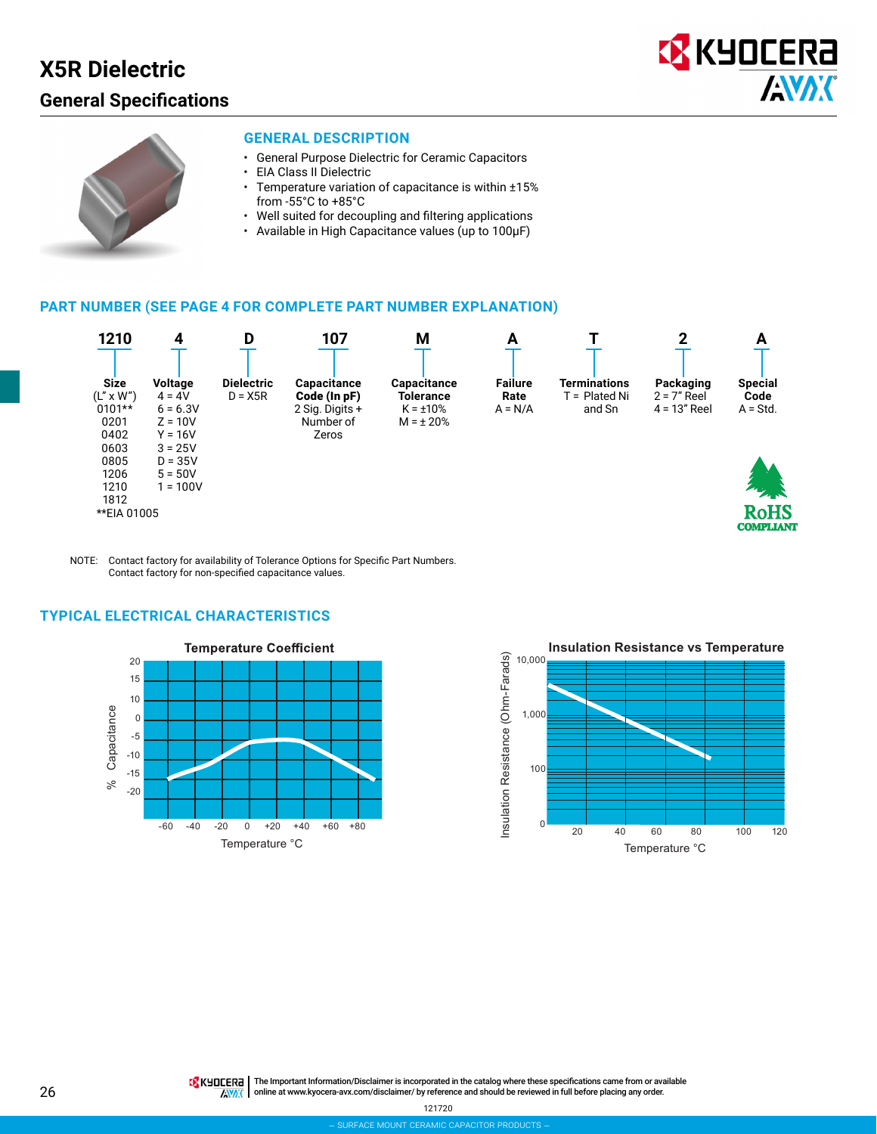# **X5R Dielectric**

## **General Specifications**





#### **GENERAL DESCRIPTION**

- General Purpose Dielectric for Ceramic Capacitors
- EIA Class II Dielectric
- Temperature variation of capacitance is within ±15% from -55°C to +85°C
- Well suited for decoupling and filtering applications
- Available in High Capacitance values (up to 100μF)

#### **PART NUMBER (SEE PAGE 4 FOR COMPLETE PART NUMBER EXPLANATION)**



NOTE: Contact factory for availability of Tolerance Options for Specific Part Numbers. Contact factory for non-specified capacitance values.

### **TYPICAL ELECTRICAL CHARACTERISTICS**





**TA** KHOCER<sub>E</sub> | The Important Information/Disclaimer is incorporated in the catalog where these specifications came from or available AVAX online at [www.kyocera-avx.com/disclaimer/](http://www.avx.com/disclaimer/) by reference and should be reviewed in full before placing any order.

121720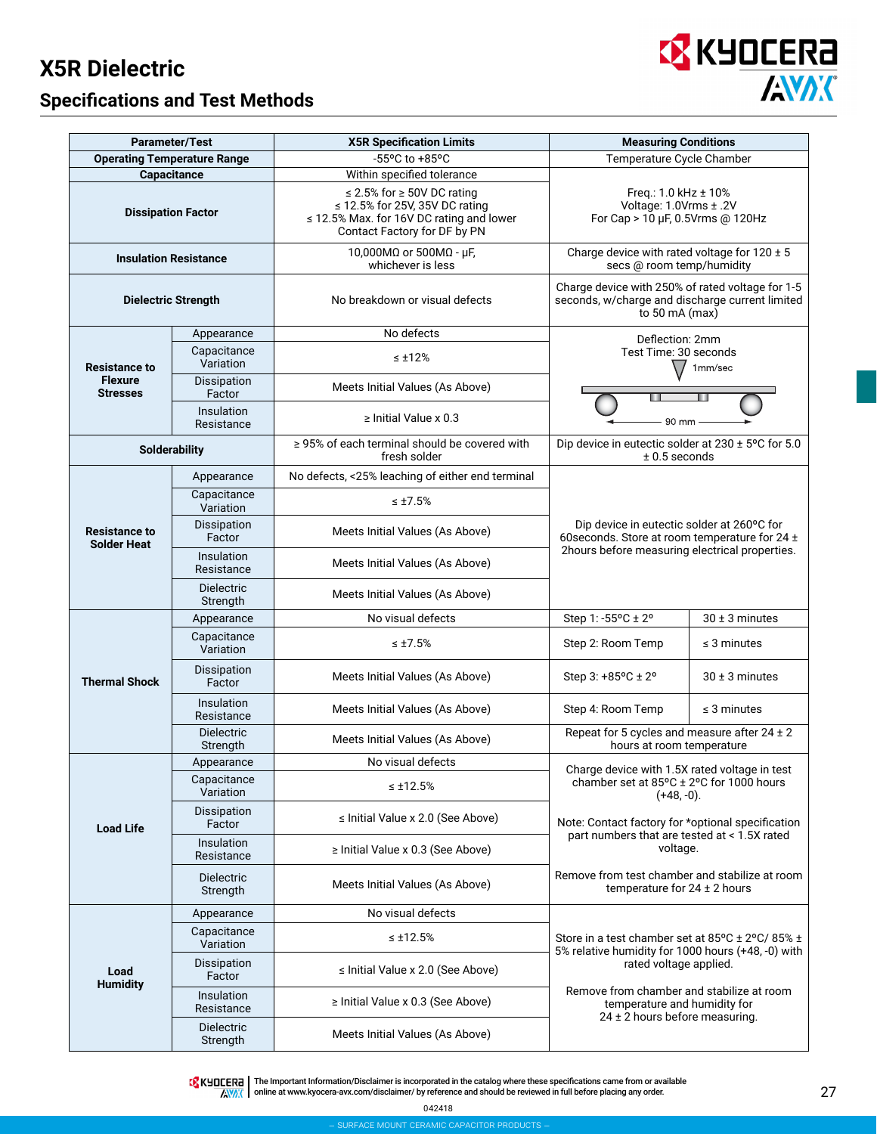# **X5R Dielectric**

## **Specifications and Test Methods**



| <b>Parameter/Test</b>                      |                                 | <b>X5R Specification Limits</b>                                                                                                                    | <b>Measuring Conditions</b>                                                                                               |  |  |  |  |  |  |  |
|--------------------------------------------|---------------------------------|----------------------------------------------------------------------------------------------------------------------------------------------------|---------------------------------------------------------------------------------------------------------------------------|--|--|--|--|--|--|--|
| <b>Operating Temperature Range</b>         |                                 | -55°C to +85°C                                                                                                                                     | Temperature Cycle Chamber                                                                                                 |  |  |  |  |  |  |  |
| Capacitance                                |                                 | Within specified tolerance                                                                                                                         |                                                                                                                           |  |  |  |  |  |  |  |
| <b>Dissipation Factor</b>                  |                                 | $\leq$ 2.5% for $\geq$ 50V DC rating<br>≤ 12.5% for 25V, 35V DC rating<br>≤ 12.5% Max. for 16V DC rating and lower<br>Contact Factory for DF by PN | Freq.: 1.0 kHz ± 10%<br>Voltage: 1.0Vrms ± .2V<br>For Cap > 10 µF, 0.5Vrms @ 120Hz                                        |  |  |  |  |  |  |  |
| <b>Insulation Resistance</b>               |                                 | 10,000MΩ or 500MΩ - μF,<br>whichever is less                                                                                                       | Charge device with rated voltage for $120 \pm 5$<br>secs @ room temp/humidity                                             |  |  |  |  |  |  |  |
| <b>Dielectric Strength</b>                 |                                 | No breakdown or visual defects                                                                                                                     | Charge device with 250% of rated voltage for 1-5<br>seconds, w/charge and discharge current limited<br>to 50 mA (max)     |  |  |  |  |  |  |  |
|                                            | Appearance                      | No defects                                                                                                                                         | Deflection: 2mm                                                                                                           |  |  |  |  |  |  |  |
| <b>Resistance to</b>                       | Capacitance<br>Variation        | $\leq \pm 12\%$                                                                                                                                    | Test Time: 30 seconds<br>1mm/sec                                                                                          |  |  |  |  |  |  |  |
| <b>Flexure</b><br><b>Stresses</b>          | Dissipation<br>Factor           | Meets Initial Values (As Above)                                                                                                                    |                                                                                                                           |  |  |  |  |  |  |  |
|                                            | Insulation<br>Resistance        | $\geq$ Initial Value x 0.3                                                                                                                         | 90 mm                                                                                                                     |  |  |  |  |  |  |  |
| <b>Solderability</b>                       |                                 | ≥ 95% of each terminal should be covered with<br>fresh solder                                                                                      | Dip device in eutectic solder at 230 ± 5°C for 5.0<br>$± 0.5$ seconds                                                     |  |  |  |  |  |  |  |
|                                            | Appearance                      | No defects, <25% leaching of either end terminal                                                                                                   |                                                                                                                           |  |  |  |  |  |  |  |
|                                            | Capacitance<br>Variation        | $\leq \pm 7.5\%$                                                                                                                                   |                                                                                                                           |  |  |  |  |  |  |  |
| <b>Resistance to</b><br><b>Solder Heat</b> | Dissipation<br>Factor           | Meets Initial Values (As Above)                                                                                                                    | Dip device in eutectic solder at 260°C for<br>60 seconds. Store at room temperature for 24 ±                              |  |  |  |  |  |  |  |
|                                            | <b>Insulation</b><br>Resistance | Meets Initial Values (As Above)                                                                                                                    | 2hours before measuring electrical properties.                                                                            |  |  |  |  |  |  |  |
|                                            | <b>Dielectric</b><br>Strength   | Meets Initial Values (As Above)                                                                                                                    |                                                                                                                           |  |  |  |  |  |  |  |
|                                            | Appearance                      | No visual defects                                                                                                                                  | Step 1: -55°C ± 2°<br>$30 \pm 3$ minutes                                                                                  |  |  |  |  |  |  |  |
|                                            | Capacitance<br>Variation        | $\leq \pm 7.5\%$                                                                                                                                   | Step 2: Room Temp<br>$\leq$ 3 minutes                                                                                     |  |  |  |  |  |  |  |
| <b>Thermal Shock</b>                       | Dissipation<br>Factor           | Meets Initial Values (As Above)                                                                                                                    | Step 3: $+85^{\circ}$ C $\pm 2^{\circ}$<br>$30 \pm 3$ minutes                                                             |  |  |  |  |  |  |  |
|                                            | Insulation<br>Resistance        | Meets Initial Values (As Above)                                                                                                                    | Step 4: Room Temp<br>$\leq$ 3 minutes                                                                                     |  |  |  |  |  |  |  |
|                                            | <b>Dielectric</b><br>Strength   | Meets Initial Values (As Above)                                                                                                                    | Repeat for 5 cycles and measure after $24 \pm 2$<br>hours at room temperature                                             |  |  |  |  |  |  |  |
|                                            | Appearance                      | No visual defects                                                                                                                                  | Charge device with 1.5X rated voltage in test                                                                             |  |  |  |  |  |  |  |
|                                            | Capacitance<br>Variation        | $\leq \pm 12.5\%$                                                                                                                                  | chamber set at 85°C ± 2°C for 1000 hours<br>$(+48,-0).$                                                                   |  |  |  |  |  |  |  |
| <b>Load Life</b>                           | Dissipation<br>Factor           | ≤ Initial Value x 2.0 (See Above)                                                                                                                  | Note: Contact factory for *optional specification<br>part numbers that are tested at < 1.5X rated                         |  |  |  |  |  |  |  |
|                                            | Insulation<br>Resistance        | $\ge$ Initial Value x 0.3 (See Above)                                                                                                              | voltage.                                                                                                                  |  |  |  |  |  |  |  |
|                                            | <b>Dielectric</b><br>Strength   | Meets Initial Values (As Above)                                                                                                                    | Remove from test chamber and stabilize at room<br>temperature for $24 \pm 2$ hours                                        |  |  |  |  |  |  |  |
|                                            | Appearance                      | No visual defects                                                                                                                                  |                                                                                                                           |  |  |  |  |  |  |  |
|                                            | Capacitance<br>Variation        | $\leq \pm 12.5\%$                                                                                                                                  | Store in a test chamber set at 85 $\degree$ C ± 2 $\degree$ C/85% ±<br>5% relative humidity for 1000 hours (+48, -0) with |  |  |  |  |  |  |  |
| Load<br><b>Humidity</b>                    | Dissipation<br>Factor           | ≤ Initial Value x 2.0 (See Above)                                                                                                                  | rated voltage applied.                                                                                                    |  |  |  |  |  |  |  |
|                                            | Insulation<br>Resistance        | $\ge$ Initial Value x 0.3 (See Above)                                                                                                              | Remove from chamber and stabilize at room<br>temperature and humidity for                                                 |  |  |  |  |  |  |  |
|                                            | <b>Dielectric</b><br>Strength   | Meets Initial Values (As Above)                                                                                                                    | $24 \pm 2$ hours before measuring.                                                                                        |  |  |  |  |  |  |  |

The Important Information/Disclaimer is incorporated in the catalog where these specifications came from or available<br>online at [www.kyocera-avx.com/disclaimer/](http://www.avx.com/disclaimer/) by reference and should be reviewed in full before placing any

042418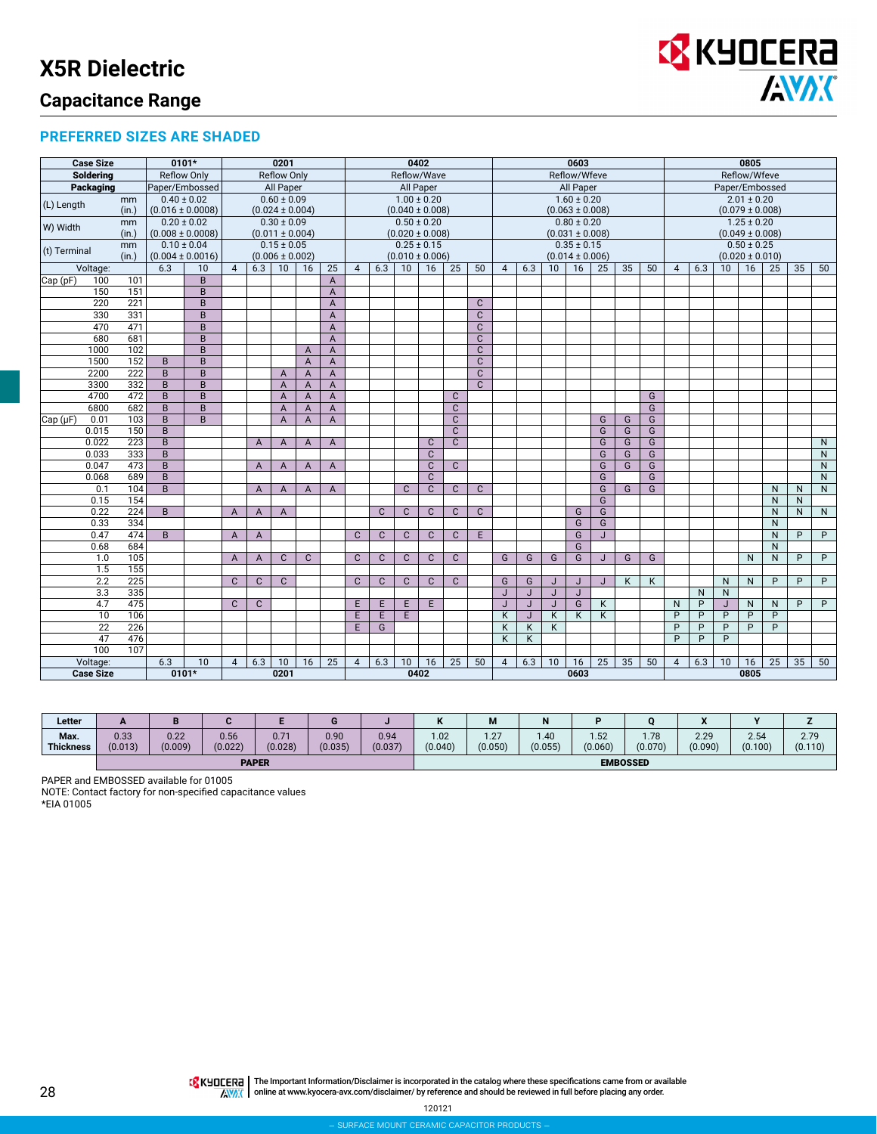

#### **PREFERRED SIZES ARE SHADED**

|              | <b>Case Size</b> |             | $0101*$                                 |                 |                |                                              | 0201                                   |                |                | 0402<br>0603                           |              |                     |              | 0805           |              |                                        |                         |              |                     |              |    |                                        |                                        |                |                 |                     |                   |              |              |
|--------------|------------------|-------------|-----------------------------------------|-----------------|----------------|----------------------------------------------|----------------------------------------|----------------|----------------|----------------------------------------|--------------|---------------------|--------------|----------------|--------------|----------------------------------------|-------------------------|--------------|---------------------|--------------|----|----------------------------------------|----------------------------------------|----------------|-----------------|---------------------|-------------------|--------------|--------------|
|              | <b>Soldering</b> |             | <b>Reflow Only</b>                      |                 |                |                                              | <b>Reflow Only</b>                     |                |                |                                        |              | Reflow/Wave         |              |                |              |                                        |                         |              | Reflow/Wfeve        |              |    |                                        |                                        |                |                 | Reflow/Wfeve        |                   |              |              |
|              | Packaging        |             | Paper/Embossed                          |                 |                |                                              | <b>All Paper</b>                       |                |                |                                        |              | <b>All Paper</b>    |              |                |              | <b>All Paper</b>                       |                         |              |                     |              |    |                                        | Paper/Embossed                         |                |                 |                     |                   |              |              |
| (L) Length   |                  | mm<br>(in.) | $0.40 \pm 0.02$<br>$(0.016 \pm 0.0008)$ |                 |                |                                              | $0.60 \pm 0.09$<br>$(0.024 \pm 0.004)$ |                |                | $1.00 \pm 0.20$<br>$(0.040 \pm 0.008)$ |              |                     |              |                |              | $1.60 \pm 0.20$<br>$(0.063 \pm 0.008)$ |                         |              |                     |              |    | $2.01 \pm 0.20$<br>$(0.079 \pm 0.008)$ |                                        |                |                 |                     |                   |              |              |
| W) Width     |                  | mm<br>(in.) | $(0.008 \pm 0.0008)$                    | $0.20 \pm 0.02$ |                | $0.30 \pm 0.09$<br>$(0.011 \pm 0.004)$       |                                        |                |                | $0.50 \pm 0.20$<br>$(0.020 \pm 0.008)$ |              |                     |              |                |              | $0.80 \pm 0.20$<br>$(0.031 \pm 0.008)$ |                         |              |                     |              |    |                                        | $1.25 \pm 0.20$<br>$(0.049 \pm 0.008)$ |                |                 |                     |                   |              |              |
|              |                  | mm          | $0.10 \pm 0.04$                         |                 |                | $0.15 \pm 0.05$                              |                                        |                |                |                                        |              | $0.25 \pm 0.15$     |              |                |              |                                        |                         |              | $0.35 \pm 0.15$     |              |    |                                        |                                        |                |                 | $0.50 \pm 0.25$     |                   |              |              |
| (t) Terminal |                  | (in.)       | $(0.004 \pm 0.0016)$                    |                 |                |                                              |                                        |                |                |                                        |              | $(0.010 \pm 0.006)$ |              |                |              |                                        |                         |              | $(0.014 \pm 0.006)$ |              |    |                                        |                                        |                |                 | $(0.020 \pm 0.010)$ |                   |              |              |
|              | Voltage:         |             | 6.3                                     | 10              | $\overline{4}$ | $(0.006 \pm 0.002)$<br>6.3<br>10<br>25<br>16 |                                        |                |                | $\overline{4}$                         | 6.3          | 10                  | 16           | 25             | 50           | $\overline{4}$                         | 6.3                     | 10           | 16                  | 25           | 35 | 50                                     | $\overline{4}$                         | 6.3            | 10 <sup>1</sup> | 16                  | 25                | 35           | 50           |
| Cap (pF)     | 100              | 101         |                                         | B               |                |                                              |                                        |                | A              |                                        |              |                     |              |                |              |                                        |                         |              |                     |              |    |                                        |                                        |                |                 |                     |                   |              |              |
|              | 150              | 151         |                                         | B               |                |                                              |                                        |                | $\overline{A}$ |                                        |              |                     |              |                |              |                                        |                         |              |                     |              |    |                                        |                                        |                |                 |                     |                   |              |              |
|              | 220              | 221         |                                         | B               |                |                                              |                                        |                | $\overline{A}$ |                                        |              |                     |              |                | $\mathbf{C}$ |                                        |                         |              |                     |              |    |                                        |                                        |                |                 |                     |                   |              |              |
|              | 330              | 331         |                                         | B               |                |                                              |                                        |                | $\overline{A}$ |                                        |              |                     |              |                | $\mathbf{C}$ |                                        |                         |              |                     |              |    |                                        |                                        |                |                 |                     |                   |              |              |
|              | 470              | 471         |                                         | B               |                |                                              |                                        |                | $\overline{A}$ |                                        |              |                     |              |                | $\mathbf{C}$ |                                        |                         |              |                     |              |    |                                        |                                        |                |                 |                     |                   |              |              |
|              | 680              | 681         |                                         | B               |                |                                              |                                        |                | $\overline{A}$ |                                        |              |                     |              |                | $\mathbf{C}$ |                                        |                         |              |                     |              |    |                                        |                                        |                |                 |                     |                   |              |              |
|              | 1000             | 102         |                                         | B               |                |                                              |                                        | $\mathsf{A}$   | A              |                                        |              |                     |              |                | $\mathbf{C}$ |                                        |                         |              |                     |              |    |                                        |                                        |                |                 |                     |                   |              |              |
|              | 1500             | 152         | B.                                      | B               |                |                                              |                                        | $\mathsf{A}$   | A              |                                        |              |                     |              |                | $\mathbf{C}$ |                                        |                         |              |                     |              |    |                                        |                                        |                |                 |                     |                   |              |              |
|              | 2200             | 222         | B.                                      | B               |                |                                              | $\mathsf{A}$                           | $\overline{A}$ | $\overline{A}$ |                                        |              |                     |              |                | $\mathbf{C}$ |                                        |                         |              |                     |              |    |                                        |                                        |                |                 |                     |                   |              |              |
|              | 3300             | 332         | B                                       | B               |                |                                              | A                                      | $\mathsf{A}$   | A              |                                        |              |                     |              |                | $\mathbf{C}$ |                                        |                         |              |                     |              |    |                                        |                                        |                |                 |                     |                   |              |              |
|              | 4700             | 472         | B.                                      | B               |                |                                              | $\overline{A}$                         | $\mathsf{A}$   | $\overline{A}$ |                                        |              |                     |              | $\mathbf{C}$   |              |                                        |                         |              |                     |              |    | G                                      |                                        |                |                 |                     |                   |              |              |
|              | 6800             | 682         | B.                                      | B               |                |                                              | $\overline{A}$                         | $\overline{A}$ | A              |                                        |              |                     |              | $\overline{c}$ |              |                                        |                         |              |                     |              |    | $\overline{G}$                         |                                        |                |                 |                     |                   |              |              |
| Cap (µF)     | 0.01             | 103         | B                                       | B               |                |                                              | $\overline{A}$                         | $\overline{A}$ | $\overline{A}$ |                                        |              |                     |              | C              |              |                                        |                         |              |                     | G            | G  | G                                      |                                        |                |                 |                     |                   |              |              |
|              | 0.015            | 150         | B                                       |                 |                |                                              |                                        |                |                |                                        |              |                     |              | $\mathbf{C}$   |              |                                        |                         |              |                     | G            | G  | G                                      |                                        |                |                 |                     |                   |              |              |
|              | 0.022            | 223         | B                                       |                 |                | $\overline{A}$                               | $\mathsf{A}$                           | $\mathsf{A}$   | $\overline{A}$ |                                        |              |                     | $\mathbf{C}$ | $\mathbf{C}$   |              |                                        |                         |              |                     | G            | G  | G                                      |                                        |                |                 |                     |                   |              | $\mathsf{N}$ |
|              | 0.033            | 333         | B                                       |                 |                |                                              |                                        |                |                |                                        |              |                     | $\mathbf{C}$ |                |              |                                        |                         |              |                     | G            | G  | G                                      |                                        |                |                 |                     |                   |              | N            |
|              | 0.047            | 473         | B                                       |                 |                | $\overline{A}$                               | $\mathsf{A}$                           | $\overline{A}$ | $\overline{A}$ |                                        |              |                     | $\mathbf{C}$ | $\mathbf{C}$   |              |                                        |                         |              |                     | G            | G  | G                                      |                                        |                |                 |                     |                   |              | N            |
|              | 0.068            | 689         | B                                       |                 |                |                                              |                                        |                |                |                                        |              |                     | $\mathbf{C}$ |                |              |                                        |                         |              |                     | G            |    | G                                      |                                        |                |                 |                     |                   |              | ${\sf N}$    |
|              | 0.1              | 104<br>154  | B.                                      |                 |                | $\mathsf{A}$                                 | $\mathsf{A}$                           | $\overline{A}$ | $\overline{A}$ |                                        |              | $\mathbf{C}$        | $\mathbf{C}$ | $\mathbf{C}$   | $\mathbf{C}$ |                                        |                         |              |                     | G<br>G       | G  | G                                      |                                        |                |                 |                     | N<br>$\mathsf{N}$ | N            | N            |
|              | 0.15<br>0.22     | 224         | $\overline{B}$                          |                 |                |                                              |                                        |                |                |                                        | $\mathbf{C}$ | $\mathbf{C}$        | $\mathbf{C}$ | $\mathbf{C}$   | $\mathbf{C}$ |                                        |                         |              | G                   | G            |    |                                        |                                        |                |                 |                     | $\mathsf{N}$      | N            | N            |
|              | 0.33             | 334         |                                         |                 | $\mathsf{A}$   | A                                            | A                                      |                |                |                                        |              |                     |              |                |              |                                        |                         |              | G                   | G            |    |                                        |                                        |                |                 |                     | N                 | $\mathsf{N}$ |              |
|              | 0.47             | 474         | B                                       |                 | A              | $\overline{A}$                               |                                        |                |                | $\mathbf{C}$                           | $\mathbf{C}$ | $\mathbf{C}$        | $\mathbf{C}$ | $\mathbf{C}$   | E            |                                        |                         |              | G                   | $\mathbf{J}$ |    |                                        |                                        |                |                 |                     | N                 | P            | P            |
|              | 0.68             | 684         |                                         |                 |                |                                              |                                        |                |                |                                        |              |                     |              |                |              |                                        |                         |              | G                   |              |    |                                        |                                        |                |                 |                     | N                 |              |              |
|              | 1.0              | 105         |                                         |                 | $\overline{A}$ | $\overline{A}$                               | $\mathsf{C}$                           | $\mathbf{C}$   |                | $\mathbf{C}$                           | $\mathbf{C}$ | $\mathbf{C}$        | $\mathbf{C}$ | $\mathbf{C}$   |              | G                                      | G                       | G            | G                   | $\mathbf{J}$ | G  | G                                      |                                        |                |                 | N                   | $\mathsf{N}$      | P            | P            |
|              | 1.5              | 155         |                                         |                 |                |                                              |                                        |                |                |                                        |              |                     |              |                |              |                                        |                         |              |                     |              |    |                                        |                                        |                |                 |                     |                   |              |              |
|              | 2.2              | 225         |                                         |                 | $\mathbf{C}$   | $\mathbf{C}$                                 | $\mathbf{C}$                           |                |                | $\mathbf{C}$                           | $\mathbf{C}$ | $\mathbf{C}$        | $\mathbf{C}$ | $\mathbf{C}$   |              | G                                      | G                       | J            | J                   | $\mathsf{J}$ | K  | K                                      |                                        |                | N               | N                   | P                 | P            | P            |
|              | 3.3              | 335         |                                         |                 |                |                                              |                                        |                |                |                                        |              |                     |              |                |              | J                                      | J                       | J            | J                   |              |    |                                        |                                        | N              | $\mathsf{N}$    |                     |                   |              |              |
|              | 4.7              | 475         |                                         |                 | $\mathbf{C}$   | $\mathsf{C}$                                 |                                        |                |                | E.                                     | E.           | E                   | E            |                |              |                                        | J                       | $\mathbf{J}$ | G                   | Κ            |    |                                        | N                                      | P              | J               | N                   | $\mathsf{N}$      | P            | P            |
|              | 10               | 106         |                                         |                 |                |                                              |                                        |                |                | E.                                     | E            | E                   |              |                |              | K                                      | J                       | K            | K                   | K            |    |                                        | P                                      | P              | P               | P                   | P                 |              |              |
|              | $\overline{22}$  | 226         |                                         |                 |                |                                              |                                        |                |                | E.                                     | G            |                     |              |                |              | K                                      | $\overline{\mathsf{K}}$ | K            |                     |              |    |                                        | $\overline{P}$                         | $\overline{P}$ | P               | $\overline{P}$      | $\overline{P}$    |              |              |
|              | 47               | 476         |                                         |                 |                |                                              |                                        |                |                |                                        |              |                     |              |                |              | K                                      | K                       |              |                     |              |    |                                        | P                                      | P              | P               |                     |                   |              |              |
|              | 100              | 107         |                                         |                 |                |                                              |                                        |                |                |                                        |              |                     |              |                |              |                                        |                         |              |                     |              |    |                                        |                                        |                |                 |                     |                   |              |              |
|              | Voltage:         |             | 6.3                                     | 10              | $\overline{4}$ | 6.3                                          | 10                                     | 16             | 25             | $\overline{4}$                         | 6.3          | 10                  | 16           | 25             | 50           | $\overline{4}$                         | 6.3                     | 10           | 16                  | 25           | 35 | 50                                     | 4                                      | 6.3            | 10              | 16                  | 25                | 35           | 50           |
|              | <b>Case Size</b> |             |                                         | $0101*$         |                |                                              | 0201                                   |                |                |                                        |              |                     | 0402         |                |              |                                        |                         |              | 0603                |              |    |                                        |                                        |                |                 | 0805                |                   |              |              |

| Letter                   | $\sim$          |                 |                 |                 | u               |                 | N               | M               | . .             |                 |                 | $\bullet$<br>$\ddot{\phantom{a}}$ | $\bullet$       |                 |
|--------------------------|-----------------|-----------------|-----------------|-----------------|-----------------|-----------------|-----------------|-----------------|-----------------|-----------------|-----------------|-----------------------------------|-----------------|-----------------|
| Max.<br><b>Thickness</b> | 0.33<br>(0.013) | 0.22<br>(0.009) | 0.56<br>(0.022) | 0.71<br>(0.028) | 0.90<br>(0.035) | 0.94<br>(0.037) | 1.02<br>(0.040) | 1.27<br>(0.050) | 1.40<br>(0.055) | 1.52<br>(0.060) | 1.78<br>(0.070) | 2.29<br>(0.090)                   | 2.54<br>(0.100) | 2.79<br>(0.110) |
|                          |                 |                 |                 | <b>PAPER</b>    |                 |                 |                 |                 |                 |                 | <b>EMBOSSED</b> |                                   |                 |                 |

PAPER and EMBOSSED available for 01005

NOTE: Contact factory for non-specified capacitance values

The Important Information/Disclaimer is incorporated in the catalog where these specifications came from or available<br>online at [www.kyocera-avx.com/disclaimer/](http://www.avx.com/disclaimer/) by reference and should be reviewed in full before placing any

120121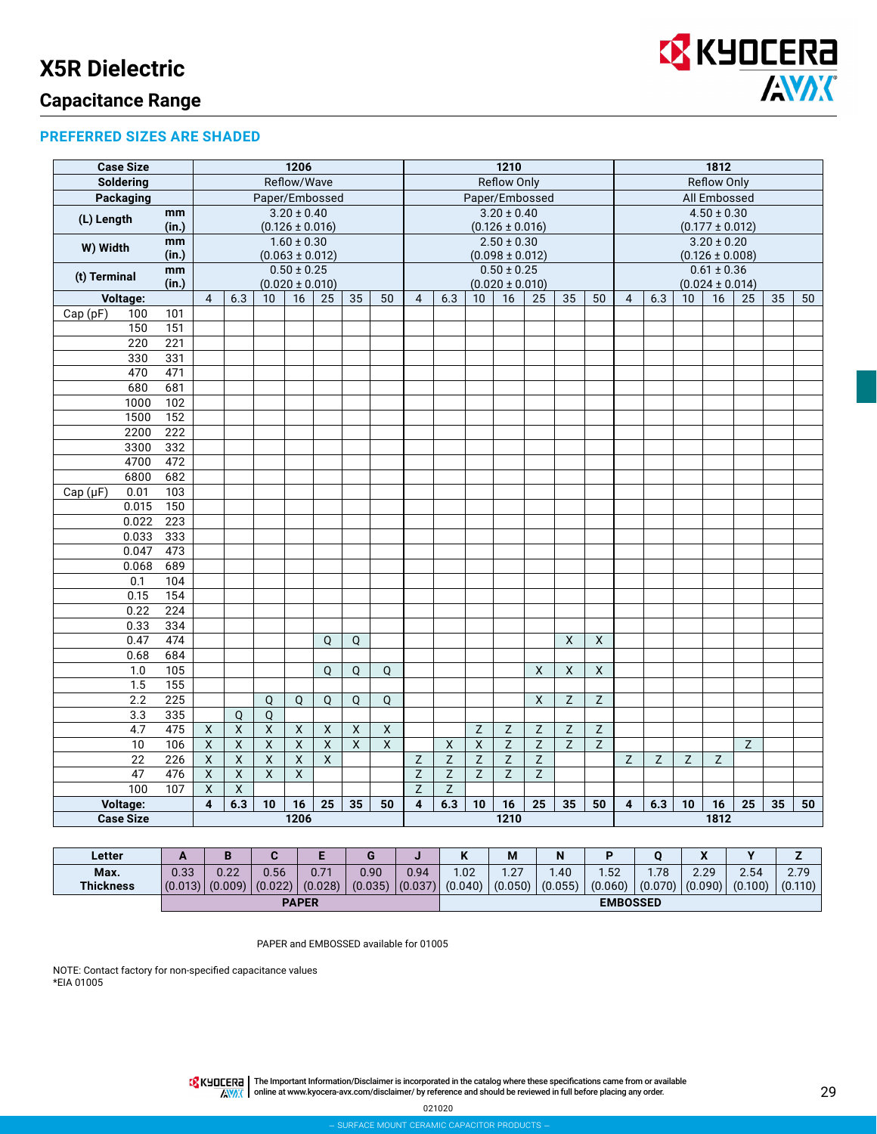

## **Capacitance Range**

#### **PREFERRED SIZES ARE SHADED**

| Reflow/Wave<br>Reflow Only<br><b>Reflow Only</b><br>Soldering<br><b>Packaging</b><br>Paper/Embossed<br>All Embossed<br>Paper/Embossed<br>$3.20 \pm 0.40$<br>$3.20 \pm 0.40$<br>$4.50 \pm 0.30$<br>mm<br>(L) Length<br>(in.)<br>$(0.126 \pm 0.016)$<br>$(0.126 \pm 0.016)$<br>$(0.177 \pm 0.012)$<br>$3.20 \pm 0.20$<br>$1.60 \pm 0.30$<br>$2.50 \pm 0.30$<br>mm<br>W) Width<br>$(0.063 \pm 0.012)$<br>$(0.098 \pm 0.012)$<br>$(0.126 \pm 0.008)$<br>(in.)<br>$0.50 \pm 0.25$<br>$0.50 \pm 0.25$<br>$0.61 \pm 0.36$<br>mm<br>(t) Terminal<br>(in.)<br>$(0.020 \pm 0.010)$<br>$(0.020 \pm 0.010)$<br>$(0.024 \pm 0.014)$<br>Voltage:<br>$\overline{4}$<br>16<br>35<br>50<br>16<br>35<br>50<br>$\overline{4}$<br>16<br>35<br>6.3<br>10<br>25<br>$\overline{4}$<br>6.3<br>10<br>25<br>6.3<br>10<br>25<br>50<br>Cap(pF)<br>100<br>101<br>151<br>150<br>220<br>221<br>331<br>330<br>471<br>470<br>680<br>681<br>1000<br>102<br>152<br>1500<br>222<br>2200<br>332<br>3300<br>4700<br>472<br>6800<br>682<br>103<br>Cap(pF)<br>0.01<br>0.015<br>150<br>0.022<br>223<br>0.033<br>333<br>473<br>0.047<br>689<br>0.068<br>104<br>0.1<br>0.15<br>154<br>224<br>0.22<br>0.33<br>334<br>0.47<br>474<br>$\pmb{\times}$<br>$\mathsf{X}$<br>$\mathsf Q$<br>Q<br>0.68<br>684<br>105<br>$\overline{\mathsf{X}}$<br>$\overline{X}$<br>1.0<br>$\mathsf Q$<br>$\mathsf Q$<br>$\mathsf{X}$<br>$\mathsf Q$<br>155<br>1.5<br>2.2<br>$\overline{225}$<br>$\mathsf{x}$<br>Z<br>Z<br>Q<br>Q<br>Q<br>Q<br>Q<br>$\overline{3.3}$<br>335<br>Q<br>Q<br>4.7<br>475<br>$\mathsf{X}$<br>$\boldsymbol{\mathsf{X}}$<br>$\pmb{\mathsf{X}}$<br>$\mathsf X$<br>$\pmb{\mathsf{X}}$<br>$\mathsf Z$<br>Z<br>X<br>X<br>Z<br>Z<br>Z<br>$\overline{\mathsf{x}}$<br>$\overline{\mathsf{x}}$<br>$\overline{\mathsf{x}}$<br>$\overline{x}$<br>$\overline{x}$<br>$\overline{x}$<br>$\overline{x}$<br>$\overline{x}$<br>$\mathsf Z$<br>$\overline{z}$<br>Z<br>106<br>$\mathsf Z$<br>Z<br>10<br>$\pmb{\times}$<br>$\overline{\mathsf{x}}$<br>$\overline{22}$<br>$\overline{226}$<br>X<br>X<br>$\overline{x}$<br>$\overline{X}$<br>$\overline{z}$<br>$\overline{z}$<br>$\overline{z}$<br>Z<br>Ζ<br>$\overline{z}$<br>Z<br>$\overline{z}$<br>Z<br>$\overline{\mathsf{x}}$<br>$\overline{\mathsf{x}}$<br>$\overline{\mathsf{X}}$<br>Z<br>Z<br>47<br>476<br>$\pmb{\mathsf{X}}$<br>Z<br>Z<br>Z<br>$\overline{100}$<br>$\overline{\mathsf{x}}$<br>Χ<br>Z<br>Z<br>107<br>Voltage:<br>$\overline{\mathbf{4}}$<br>6.3<br>25<br>35<br>6.3<br>25<br>35<br>25<br>35<br>10<br>16<br>50<br>$\overline{\mathbf{4}}$<br>10<br>16<br>50<br>4<br>6.3<br>10<br>16<br>50<br>1206<br>1210<br>1812<br><b>Case Size</b> | <b>Case Size</b> |  |  |  | 1206<br>1210 |  |  |  |  |  |  |  | 1812 |  |  |  |  |  |  |  |  |  |  |  |  |
|---------------------------------------------------------------------------------------------------------------------------------------------------------------------------------------------------------------------------------------------------------------------------------------------------------------------------------------------------------------------------------------------------------------------------------------------------------------------------------------------------------------------------------------------------------------------------------------------------------------------------------------------------------------------------------------------------------------------------------------------------------------------------------------------------------------------------------------------------------------------------------------------------------------------------------------------------------------------------------------------------------------------------------------------------------------------------------------------------------------------------------------------------------------------------------------------------------------------------------------------------------------------------------------------------------------------------------------------------------------------------------------------------------------------------------------------------------------------------------------------------------------------------------------------------------------------------------------------------------------------------------------------------------------------------------------------------------------------------------------------------------------------------------------------------------------------------------------------------------------------------------------------------------------------------------------------------------------------------------------------------------------------------------------------------------------------------------------------------------------------------------------------------------------------------------------------------------------------------------------------------------------------------------------------------------------------------------------------------------------------------------------------------------------------------------------------------------------------------------------------------------------------------------------------------------------------------------------------------------------------------------------------|------------------|--|--|--|--------------|--|--|--|--|--|--|--|------|--|--|--|--|--|--|--|--|--|--|--|--|
|                                                                                                                                                                                                                                                                                                                                                                                                                                                                                                                                                                                                                                                                                                                                                                                                                                                                                                                                                                                                                                                                                                                                                                                                                                                                                                                                                                                                                                                                                                                                                                                                                                                                                                                                                                                                                                                                                                                                                                                                                                                                                                                                                                                                                                                                                                                                                                                                                                                                                                                                                                                                                                             |                  |  |  |  |              |  |  |  |  |  |  |  |      |  |  |  |  |  |  |  |  |  |  |  |  |
|                                                                                                                                                                                                                                                                                                                                                                                                                                                                                                                                                                                                                                                                                                                                                                                                                                                                                                                                                                                                                                                                                                                                                                                                                                                                                                                                                                                                                                                                                                                                                                                                                                                                                                                                                                                                                                                                                                                                                                                                                                                                                                                                                                                                                                                                                                                                                                                                                                                                                                                                                                                                                                             |                  |  |  |  |              |  |  |  |  |  |  |  |      |  |  |  |  |  |  |  |  |  |  |  |  |
|                                                                                                                                                                                                                                                                                                                                                                                                                                                                                                                                                                                                                                                                                                                                                                                                                                                                                                                                                                                                                                                                                                                                                                                                                                                                                                                                                                                                                                                                                                                                                                                                                                                                                                                                                                                                                                                                                                                                                                                                                                                                                                                                                                                                                                                                                                                                                                                                                                                                                                                                                                                                                                             |                  |  |  |  |              |  |  |  |  |  |  |  |      |  |  |  |  |  |  |  |  |  |  |  |  |
|                                                                                                                                                                                                                                                                                                                                                                                                                                                                                                                                                                                                                                                                                                                                                                                                                                                                                                                                                                                                                                                                                                                                                                                                                                                                                                                                                                                                                                                                                                                                                                                                                                                                                                                                                                                                                                                                                                                                                                                                                                                                                                                                                                                                                                                                                                                                                                                                                                                                                                                                                                                                                                             |                  |  |  |  |              |  |  |  |  |  |  |  |      |  |  |  |  |  |  |  |  |  |  |  |  |
|                                                                                                                                                                                                                                                                                                                                                                                                                                                                                                                                                                                                                                                                                                                                                                                                                                                                                                                                                                                                                                                                                                                                                                                                                                                                                                                                                                                                                                                                                                                                                                                                                                                                                                                                                                                                                                                                                                                                                                                                                                                                                                                                                                                                                                                                                                                                                                                                                                                                                                                                                                                                                                             |                  |  |  |  |              |  |  |  |  |  |  |  |      |  |  |  |  |  |  |  |  |  |  |  |  |
|                                                                                                                                                                                                                                                                                                                                                                                                                                                                                                                                                                                                                                                                                                                                                                                                                                                                                                                                                                                                                                                                                                                                                                                                                                                                                                                                                                                                                                                                                                                                                                                                                                                                                                                                                                                                                                                                                                                                                                                                                                                                                                                                                                                                                                                                                                                                                                                                                                                                                                                                                                                                                                             |                  |  |  |  |              |  |  |  |  |  |  |  |      |  |  |  |  |  |  |  |  |  |  |  |  |
|                                                                                                                                                                                                                                                                                                                                                                                                                                                                                                                                                                                                                                                                                                                                                                                                                                                                                                                                                                                                                                                                                                                                                                                                                                                                                                                                                                                                                                                                                                                                                                                                                                                                                                                                                                                                                                                                                                                                                                                                                                                                                                                                                                                                                                                                                                                                                                                                                                                                                                                                                                                                                                             |                  |  |  |  |              |  |  |  |  |  |  |  |      |  |  |  |  |  |  |  |  |  |  |  |  |
|                                                                                                                                                                                                                                                                                                                                                                                                                                                                                                                                                                                                                                                                                                                                                                                                                                                                                                                                                                                                                                                                                                                                                                                                                                                                                                                                                                                                                                                                                                                                                                                                                                                                                                                                                                                                                                                                                                                                                                                                                                                                                                                                                                                                                                                                                                                                                                                                                                                                                                                                                                                                                                             |                  |  |  |  |              |  |  |  |  |  |  |  |      |  |  |  |  |  |  |  |  |  |  |  |  |
|                                                                                                                                                                                                                                                                                                                                                                                                                                                                                                                                                                                                                                                                                                                                                                                                                                                                                                                                                                                                                                                                                                                                                                                                                                                                                                                                                                                                                                                                                                                                                                                                                                                                                                                                                                                                                                                                                                                                                                                                                                                                                                                                                                                                                                                                                                                                                                                                                                                                                                                                                                                                                                             |                  |  |  |  |              |  |  |  |  |  |  |  |      |  |  |  |  |  |  |  |  |  |  |  |  |
|                                                                                                                                                                                                                                                                                                                                                                                                                                                                                                                                                                                                                                                                                                                                                                                                                                                                                                                                                                                                                                                                                                                                                                                                                                                                                                                                                                                                                                                                                                                                                                                                                                                                                                                                                                                                                                                                                                                                                                                                                                                                                                                                                                                                                                                                                                                                                                                                                                                                                                                                                                                                                                             |                  |  |  |  |              |  |  |  |  |  |  |  |      |  |  |  |  |  |  |  |  |  |  |  |  |
|                                                                                                                                                                                                                                                                                                                                                                                                                                                                                                                                                                                                                                                                                                                                                                                                                                                                                                                                                                                                                                                                                                                                                                                                                                                                                                                                                                                                                                                                                                                                                                                                                                                                                                                                                                                                                                                                                                                                                                                                                                                                                                                                                                                                                                                                                                                                                                                                                                                                                                                                                                                                                                             |                  |  |  |  |              |  |  |  |  |  |  |  |      |  |  |  |  |  |  |  |  |  |  |  |  |
|                                                                                                                                                                                                                                                                                                                                                                                                                                                                                                                                                                                                                                                                                                                                                                                                                                                                                                                                                                                                                                                                                                                                                                                                                                                                                                                                                                                                                                                                                                                                                                                                                                                                                                                                                                                                                                                                                                                                                                                                                                                                                                                                                                                                                                                                                                                                                                                                                                                                                                                                                                                                                                             |                  |  |  |  |              |  |  |  |  |  |  |  |      |  |  |  |  |  |  |  |  |  |  |  |  |
|                                                                                                                                                                                                                                                                                                                                                                                                                                                                                                                                                                                                                                                                                                                                                                                                                                                                                                                                                                                                                                                                                                                                                                                                                                                                                                                                                                                                                                                                                                                                                                                                                                                                                                                                                                                                                                                                                                                                                                                                                                                                                                                                                                                                                                                                                                                                                                                                                                                                                                                                                                                                                                             |                  |  |  |  |              |  |  |  |  |  |  |  |      |  |  |  |  |  |  |  |  |  |  |  |  |
|                                                                                                                                                                                                                                                                                                                                                                                                                                                                                                                                                                                                                                                                                                                                                                                                                                                                                                                                                                                                                                                                                                                                                                                                                                                                                                                                                                                                                                                                                                                                                                                                                                                                                                                                                                                                                                                                                                                                                                                                                                                                                                                                                                                                                                                                                                                                                                                                                                                                                                                                                                                                                                             |                  |  |  |  |              |  |  |  |  |  |  |  |      |  |  |  |  |  |  |  |  |  |  |  |  |
|                                                                                                                                                                                                                                                                                                                                                                                                                                                                                                                                                                                                                                                                                                                                                                                                                                                                                                                                                                                                                                                                                                                                                                                                                                                                                                                                                                                                                                                                                                                                                                                                                                                                                                                                                                                                                                                                                                                                                                                                                                                                                                                                                                                                                                                                                                                                                                                                                                                                                                                                                                                                                                             |                  |  |  |  |              |  |  |  |  |  |  |  |      |  |  |  |  |  |  |  |  |  |  |  |  |
|                                                                                                                                                                                                                                                                                                                                                                                                                                                                                                                                                                                                                                                                                                                                                                                                                                                                                                                                                                                                                                                                                                                                                                                                                                                                                                                                                                                                                                                                                                                                                                                                                                                                                                                                                                                                                                                                                                                                                                                                                                                                                                                                                                                                                                                                                                                                                                                                                                                                                                                                                                                                                                             |                  |  |  |  |              |  |  |  |  |  |  |  |      |  |  |  |  |  |  |  |  |  |  |  |  |
|                                                                                                                                                                                                                                                                                                                                                                                                                                                                                                                                                                                                                                                                                                                                                                                                                                                                                                                                                                                                                                                                                                                                                                                                                                                                                                                                                                                                                                                                                                                                                                                                                                                                                                                                                                                                                                                                                                                                                                                                                                                                                                                                                                                                                                                                                                                                                                                                                                                                                                                                                                                                                                             |                  |  |  |  |              |  |  |  |  |  |  |  |      |  |  |  |  |  |  |  |  |  |  |  |  |
|                                                                                                                                                                                                                                                                                                                                                                                                                                                                                                                                                                                                                                                                                                                                                                                                                                                                                                                                                                                                                                                                                                                                                                                                                                                                                                                                                                                                                                                                                                                                                                                                                                                                                                                                                                                                                                                                                                                                                                                                                                                                                                                                                                                                                                                                                                                                                                                                                                                                                                                                                                                                                                             |                  |  |  |  |              |  |  |  |  |  |  |  |      |  |  |  |  |  |  |  |  |  |  |  |  |
|                                                                                                                                                                                                                                                                                                                                                                                                                                                                                                                                                                                                                                                                                                                                                                                                                                                                                                                                                                                                                                                                                                                                                                                                                                                                                                                                                                                                                                                                                                                                                                                                                                                                                                                                                                                                                                                                                                                                                                                                                                                                                                                                                                                                                                                                                                                                                                                                                                                                                                                                                                                                                                             |                  |  |  |  |              |  |  |  |  |  |  |  |      |  |  |  |  |  |  |  |  |  |  |  |  |
|                                                                                                                                                                                                                                                                                                                                                                                                                                                                                                                                                                                                                                                                                                                                                                                                                                                                                                                                                                                                                                                                                                                                                                                                                                                                                                                                                                                                                                                                                                                                                                                                                                                                                                                                                                                                                                                                                                                                                                                                                                                                                                                                                                                                                                                                                                                                                                                                                                                                                                                                                                                                                                             |                  |  |  |  |              |  |  |  |  |  |  |  |      |  |  |  |  |  |  |  |  |  |  |  |  |
|                                                                                                                                                                                                                                                                                                                                                                                                                                                                                                                                                                                                                                                                                                                                                                                                                                                                                                                                                                                                                                                                                                                                                                                                                                                                                                                                                                                                                                                                                                                                                                                                                                                                                                                                                                                                                                                                                                                                                                                                                                                                                                                                                                                                                                                                                                                                                                                                                                                                                                                                                                                                                                             |                  |  |  |  |              |  |  |  |  |  |  |  |      |  |  |  |  |  |  |  |  |  |  |  |  |
|                                                                                                                                                                                                                                                                                                                                                                                                                                                                                                                                                                                                                                                                                                                                                                                                                                                                                                                                                                                                                                                                                                                                                                                                                                                                                                                                                                                                                                                                                                                                                                                                                                                                                                                                                                                                                                                                                                                                                                                                                                                                                                                                                                                                                                                                                                                                                                                                                                                                                                                                                                                                                                             |                  |  |  |  |              |  |  |  |  |  |  |  |      |  |  |  |  |  |  |  |  |  |  |  |  |
|                                                                                                                                                                                                                                                                                                                                                                                                                                                                                                                                                                                                                                                                                                                                                                                                                                                                                                                                                                                                                                                                                                                                                                                                                                                                                                                                                                                                                                                                                                                                                                                                                                                                                                                                                                                                                                                                                                                                                                                                                                                                                                                                                                                                                                                                                                                                                                                                                                                                                                                                                                                                                                             |                  |  |  |  |              |  |  |  |  |  |  |  |      |  |  |  |  |  |  |  |  |  |  |  |  |
|                                                                                                                                                                                                                                                                                                                                                                                                                                                                                                                                                                                                                                                                                                                                                                                                                                                                                                                                                                                                                                                                                                                                                                                                                                                                                                                                                                                                                                                                                                                                                                                                                                                                                                                                                                                                                                                                                                                                                                                                                                                                                                                                                                                                                                                                                                                                                                                                                                                                                                                                                                                                                                             |                  |  |  |  |              |  |  |  |  |  |  |  |      |  |  |  |  |  |  |  |  |  |  |  |  |
|                                                                                                                                                                                                                                                                                                                                                                                                                                                                                                                                                                                                                                                                                                                                                                                                                                                                                                                                                                                                                                                                                                                                                                                                                                                                                                                                                                                                                                                                                                                                                                                                                                                                                                                                                                                                                                                                                                                                                                                                                                                                                                                                                                                                                                                                                                                                                                                                                                                                                                                                                                                                                                             |                  |  |  |  |              |  |  |  |  |  |  |  |      |  |  |  |  |  |  |  |  |  |  |  |  |
|                                                                                                                                                                                                                                                                                                                                                                                                                                                                                                                                                                                                                                                                                                                                                                                                                                                                                                                                                                                                                                                                                                                                                                                                                                                                                                                                                                                                                                                                                                                                                                                                                                                                                                                                                                                                                                                                                                                                                                                                                                                                                                                                                                                                                                                                                                                                                                                                                                                                                                                                                                                                                                             |                  |  |  |  |              |  |  |  |  |  |  |  |      |  |  |  |  |  |  |  |  |  |  |  |  |
|                                                                                                                                                                                                                                                                                                                                                                                                                                                                                                                                                                                                                                                                                                                                                                                                                                                                                                                                                                                                                                                                                                                                                                                                                                                                                                                                                                                                                                                                                                                                                                                                                                                                                                                                                                                                                                                                                                                                                                                                                                                                                                                                                                                                                                                                                                                                                                                                                                                                                                                                                                                                                                             |                  |  |  |  |              |  |  |  |  |  |  |  |      |  |  |  |  |  |  |  |  |  |  |  |  |
|                                                                                                                                                                                                                                                                                                                                                                                                                                                                                                                                                                                                                                                                                                                                                                                                                                                                                                                                                                                                                                                                                                                                                                                                                                                                                                                                                                                                                                                                                                                                                                                                                                                                                                                                                                                                                                                                                                                                                                                                                                                                                                                                                                                                                                                                                                                                                                                                                                                                                                                                                                                                                                             |                  |  |  |  |              |  |  |  |  |  |  |  |      |  |  |  |  |  |  |  |  |  |  |  |  |
|                                                                                                                                                                                                                                                                                                                                                                                                                                                                                                                                                                                                                                                                                                                                                                                                                                                                                                                                                                                                                                                                                                                                                                                                                                                                                                                                                                                                                                                                                                                                                                                                                                                                                                                                                                                                                                                                                                                                                                                                                                                                                                                                                                                                                                                                                                                                                                                                                                                                                                                                                                                                                                             |                  |  |  |  |              |  |  |  |  |  |  |  |      |  |  |  |  |  |  |  |  |  |  |  |  |
|                                                                                                                                                                                                                                                                                                                                                                                                                                                                                                                                                                                                                                                                                                                                                                                                                                                                                                                                                                                                                                                                                                                                                                                                                                                                                                                                                                                                                                                                                                                                                                                                                                                                                                                                                                                                                                                                                                                                                                                                                                                                                                                                                                                                                                                                                                                                                                                                                                                                                                                                                                                                                                             |                  |  |  |  |              |  |  |  |  |  |  |  |      |  |  |  |  |  |  |  |  |  |  |  |  |
|                                                                                                                                                                                                                                                                                                                                                                                                                                                                                                                                                                                                                                                                                                                                                                                                                                                                                                                                                                                                                                                                                                                                                                                                                                                                                                                                                                                                                                                                                                                                                                                                                                                                                                                                                                                                                                                                                                                                                                                                                                                                                                                                                                                                                                                                                                                                                                                                                                                                                                                                                                                                                                             |                  |  |  |  |              |  |  |  |  |  |  |  |      |  |  |  |  |  |  |  |  |  |  |  |  |
|                                                                                                                                                                                                                                                                                                                                                                                                                                                                                                                                                                                                                                                                                                                                                                                                                                                                                                                                                                                                                                                                                                                                                                                                                                                                                                                                                                                                                                                                                                                                                                                                                                                                                                                                                                                                                                                                                                                                                                                                                                                                                                                                                                                                                                                                                                                                                                                                                                                                                                                                                                                                                                             |                  |  |  |  |              |  |  |  |  |  |  |  |      |  |  |  |  |  |  |  |  |  |  |  |  |
|                                                                                                                                                                                                                                                                                                                                                                                                                                                                                                                                                                                                                                                                                                                                                                                                                                                                                                                                                                                                                                                                                                                                                                                                                                                                                                                                                                                                                                                                                                                                                                                                                                                                                                                                                                                                                                                                                                                                                                                                                                                                                                                                                                                                                                                                                                                                                                                                                                                                                                                                                                                                                                             |                  |  |  |  |              |  |  |  |  |  |  |  |      |  |  |  |  |  |  |  |  |  |  |  |  |
|                                                                                                                                                                                                                                                                                                                                                                                                                                                                                                                                                                                                                                                                                                                                                                                                                                                                                                                                                                                                                                                                                                                                                                                                                                                                                                                                                                                                                                                                                                                                                                                                                                                                                                                                                                                                                                                                                                                                                                                                                                                                                                                                                                                                                                                                                                                                                                                                                                                                                                                                                                                                                                             |                  |  |  |  |              |  |  |  |  |  |  |  |      |  |  |  |  |  |  |  |  |  |  |  |  |
|                                                                                                                                                                                                                                                                                                                                                                                                                                                                                                                                                                                                                                                                                                                                                                                                                                                                                                                                                                                                                                                                                                                                                                                                                                                                                                                                                                                                                                                                                                                                                                                                                                                                                                                                                                                                                                                                                                                                                                                                                                                                                                                                                                                                                                                                                                                                                                                                                                                                                                                                                                                                                                             |                  |  |  |  |              |  |  |  |  |  |  |  |      |  |  |  |  |  |  |  |  |  |  |  |  |
|                                                                                                                                                                                                                                                                                                                                                                                                                                                                                                                                                                                                                                                                                                                                                                                                                                                                                                                                                                                                                                                                                                                                                                                                                                                                                                                                                                                                                                                                                                                                                                                                                                                                                                                                                                                                                                                                                                                                                                                                                                                                                                                                                                                                                                                                                                                                                                                                                                                                                                                                                                                                                                             |                  |  |  |  |              |  |  |  |  |  |  |  |      |  |  |  |  |  |  |  |  |  |  |  |  |
|                                                                                                                                                                                                                                                                                                                                                                                                                                                                                                                                                                                                                                                                                                                                                                                                                                                                                                                                                                                                                                                                                                                                                                                                                                                                                                                                                                                                                                                                                                                                                                                                                                                                                                                                                                                                                                                                                                                                                                                                                                                                                                                                                                                                                                                                                                                                                                                                                                                                                                                                                                                                                                             |                  |  |  |  |              |  |  |  |  |  |  |  |      |  |  |  |  |  |  |  |  |  |  |  |  |
|                                                                                                                                                                                                                                                                                                                                                                                                                                                                                                                                                                                                                                                                                                                                                                                                                                                                                                                                                                                                                                                                                                                                                                                                                                                                                                                                                                                                                                                                                                                                                                                                                                                                                                                                                                                                                                                                                                                                                                                                                                                                                                                                                                                                                                                                                                                                                                                                                                                                                                                                                                                                                                             |                  |  |  |  |              |  |  |  |  |  |  |  |      |  |  |  |  |  |  |  |  |  |  |  |  |
|                                                                                                                                                                                                                                                                                                                                                                                                                                                                                                                                                                                                                                                                                                                                                                                                                                                                                                                                                                                                                                                                                                                                                                                                                                                                                                                                                                                                                                                                                                                                                                                                                                                                                                                                                                                                                                                                                                                                                                                                                                                                                                                                                                                                                                                                                                                                                                                                                                                                                                                                                                                                                                             |                  |  |  |  |              |  |  |  |  |  |  |  |      |  |  |  |  |  |  |  |  |  |  |  |  |
|                                                                                                                                                                                                                                                                                                                                                                                                                                                                                                                                                                                                                                                                                                                                                                                                                                                                                                                                                                                                                                                                                                                                                                                                                                                                                                                                                                                                                                                                                                                                                                                                                                                                                                                                                                                                                                                                                                                                                                                                                                                                                                                                                                                                                                                                                                                                                                                                                                                                                                                                                                                                                                             |                  |  |  |  |              |  |  |  |  |  |  |  |      |  |  |  |  |  |  |  |  |  |  |  |  |
|                                                                                                                                                                                                                                                                                                                                                                                                                                                                                                                                                                                                                                                                                                                                                                                                                                                                                                                                                                                                                                                                                                                                                                                                                                                                                                                                                                                                                                                                                                                                                                                                                                                                                                                                                                                                                                                                                                                                                                                                                                                                                                                                                                                                                                                                                                                                                                                                                                                                                                                                                                                                                                             |                  |  |  |  |              |  |  |  |  |  |  |  |      |  |  |  |  |  |  |  |  |  |  |  |  |
|                                                                                                                                                                                                                                                                                                                                                                                                                                                                                                                                                                                                                                                                                                                                                                                                                                                                                                                                                                                                                                                                                                                                                                                                                                                                                                                                                                                                                                                                                                                                                                                                                                                                                                                                                                                                                                                                                                                                                                                                                                                                                                                                                                                                                                                                                                                                                                                                                                                                                                                                                                                                                                             |                  |  |  |  |              |  |  |  |  |  |  |  |      |  |  |  |  |  |  |  |  |  |  |  |  |

| Letter           |      |                             |      |                     |      |      | $\overline{ }$<br>N                         | M    | N       |                 |      | $\mathbf{v}$<br>Λ | $\mathbf{v}$                  |         |
|------------------|------|-----------------------------|------|---------------------|------|------|---------------------------------------------|------|---------|-----------------|------|-------------------|-------------------------------|---------|
| Max.             | 0.33 | 0.22                        | 0.56 | 0.71                | 0.90 | 0.94 | .02                                         | 1.27 | .40     | 1.52            | 1.78 | 2.29              | 2.54                          | 2.79    |
| <b>Thickness</b> |      | $(0.013)$ $(0.009)$ $\vert$ |      | $(0.022)$ $(0.028)$ |      |      | $(0.035)$ $(0.037)$ $(0.040)$ $(0.050)$ $($ |      | (0.055) | (0.060)         |      |                   | $(0.070)$ $(0.090)$ $(0.100)$ | (0.110) |
|                  |      |                             |      | <b>PAPER</b>        |      |      |                                             |      |         | <b>EMBOSSED</b> |      |                   |                               |         |

#### PAPER and EMBOSSED available for 01005

NOTE: Contact factory for non-specified capacitance values \*EIA 01005

The Important Information/Disclaimer is incorporated in the catalog where these specifications came from or available<br>online at [www.kyocera-avx.com/disclaimer/](http://www.avx.com/disclaimer/) by reference and should be reviewed in full before placing any